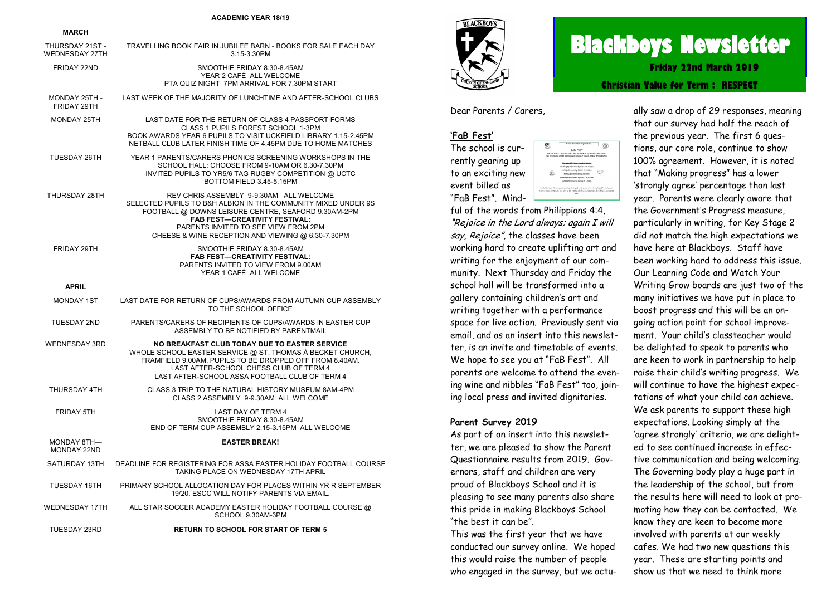#### **ACADEMIC YEAR 18/19**

#### **MARCH**

| THURSDAY 21ST -<br><b>WEDNESDAY 27TH</b> | TRAVELLING BOOK FAIR IN JUBILEE BARN - BOOKS FOR SALE EACH DAY<br>3.15-3.30PM                                                                                                                                                                                                                        |
|------------------------------------------|------------------------------------------------------------------------------------------------------------------------------------------------------------------------------------------------------------------------------------------------------------------------------------------------------|
| FRIDAY 22ND                              | SMOOTHIE FRIDAY 8.30-8.45AM<br>YEAR 2 CAFÉ ALL WELCOME<br>PTA QUIZ NIGHT 7PM ARRIVAL FOR 7.30PM START                                                                                                                                                                                                |
| MONDAY 25TH -<br>FRIDAY 29TH             | LAST WEEK OF THE MAJORITY OF LUNCHTIME AND AFTER-SCHOOL CLUBS                                                                                                                                                                                                                                        |
| <b>MONDAY 25TH</b>                       | LAST DATE FOR THE RETURN OF CLASS 4 PASSPORT FORMS<br>CLASS 1 PUPILS FOREST SCHOOL 1-3PM<br>BOOK AWARDS YEAR 6 PUPILS TO VISIT UCKFIELD LIBRARY 1.15-2.45PM<br>NETBALL CLUB LATER FINISH TIME OF 4.45PM DUE TO HOME MATCHES                                                                          |
| TUESDAY 26TH                             | YEAR 1 PARENTS/CARERS PHONICS SCREENING WORKSHOPS IN THE<br>SCHOOL HALL: CHOOSE FROM 9-10AM OR 6.30-7.30PM<br>INVITED PUPILS TO YR5/6 TAG RUGBY COMPETITION @ UCTC<br>BOTTOM FIELD 3.45-5.15PM                                                                                                       |
| THURSDAY 28TH                            | REV CHRIS ASSEMBLY 9-9.30AM ALL WELCOME<br>SELECTED PUPILS TO B&H ALBION IN THE COMMUNITY MIXED UNDER 9S<br>FOOTBALL @ DOWNS LEISURE CENTRE, SEAFORD 9.30AM-2PM<br><b>FAB FEST-CREATIVITY FESTIVAL:</b><br>PARENTS INVITED TO SEE VIEW FROM 2PM<br>CHEESE & WINE RECEPTION AND VIEWING @ 6.30-7.30PM |
| FRIDAY 29TH                              | SMOOTHIE FRIDAY 8.30-8.45AM<br><b>FAB FEST-CREATIVITY FESTIVAL:</b><br>PARENTS INVITED TO VIEW FROM 9.00AM<br>YEAR 1 CAFÉ ALL WELCOME                                                                                                                                                                |
| <b>APRIL</b>                             |                                                                                                                                                                                                                                                                                                      |
| <b>MONDAY 1ST</b>                        | LAST DATE FOR RETURN OF CUPS/AWARDS FROM AUTUMN CUP ASSEMBLY<br>TO THE SCHOOL OFFICE                                                                                                                                                                                                                 |
| <b>TUESDAY 2ND</b>                       | PARENTS/CARERS OF RECIPIENTS OF CUPS/AWARDS IN EASTER CUP<br>ASSEMBLY TO BE NOTIFIED BY PARENTMAIL                                                                                                                                                                                                   |
| <b>WEDNESDAY 3RD</b>                     | NO BREAKFAST CLUB TODAY DUE TO EASTER SERVICE<br>WHOLE SCHOOL EASTER SERVICE @ ST. THOMAS À BECKET CHURCH,<br>FRAMFIELD 9.00AM. PUPILS TO BE DROPPED OFF FROM 8.40AM.<br>LAST AFTER-SCHOOL CHESS CLUB OF TERM 4<br>LAST AFTER-SCHOOL ASSA FOOTBALL CLUB OF TERM 4                                    |
| THURSDAY 4TH                             | CLASS 3 TRIP TO THE NATURAL HISTORY MUSEUM 8AM-4PM<br>CLASS 2 ASSEMBLY 9-9.30AM ALL WELCOME                                                                                                                                                                                                          |
| FRIDAY 5TH                               | <b>LAST DAY OF TERM 4</b><br>SMOOTHIE FRIDAY 8.30-8.45AM<br>END OF TERM CUP ASSEMBLY 2.15-3.15PM ALL WELCOME                                                                                                                                                                                         |
| MONDAY 8TH-<br>MONDAY 22ND               | <b>EASTER BREAK!</b>                                                                                                                                                                                                                                                                                 |
| SATURDAY 13TH                            | DEADLINE FOR REGISTERING FOR ASSA EASTER HOLIDAY FOOTBALL COURSE<br>TAKING PLACE ON WEDNESDAY 17TH APRIL                                                                                                                                                                                             |
| <b>TUESDAY 16TH</b>                      | PRIMARY SCHOOL ALLOCATION DAY FOR PLACES WITHIN YR R SEPTEMBER<br>19/20. ESCC WILL NOTIFY PARENTS VIA EMAIL.                                                                                                                                                                                         |
| <b>WEDNESDAY 17TH</b>                    | ALL STAR SOCCER ACADEMY EASTER HOLIDAY FOOTBALL COURSE @<br>SCHOOL 9.30AM-3PM                                                                                                                                                                                                                        |
| <b>TUESDAY 23RD</b>                      | <b>RETURN TO SCHOOL FOR START OF TERM 5</b>                                                                                                                                                                                                                                                          |



# **Blackboys Newsletter**

**Friday 22nd March 2019**

**Christian Value for Term : RESPECT**

Dear Parents / Carers,

# **'FaB Fest'**

The school is currently gearing up to an exciting new event billed as "FaB Fest". Mind-



ful of the words from Philippians 4:4, "Rejoice in the Lord always; again I will say, Rejoice", the classes have been working hard to create uplifting art and writing for the enjoyment of our community. Next Thursday and Friday the school hall will be transformed into a gallery containing children's art and writing together with a performance space for live action. Previously sent via email, and as an insert into this newsletter, is an invite and timetable of events. We hope to see you at "FaB Fest". All parents are welcome to attend the evening wine and nibbles "FaB Fest" too, joining local press and invited dignitaries.

#### **Parent Survey 2019**

As part of an insert into this newsletter, we are pleased to show the Parent Questionnaire results from 2019. Governors, staff and children are very proud of Blackboys School and it is pleasing to see many parents also share this pride in making Blackboys School "the best it can be".

This was the first year that we have conducted our survey online. We hoped this would raise the number of people who engaged in the survey, but we actually saw a drop of 29 responses, meaning that our survey had half the reach of the previous year. The first 6 questions, our core role, continue to show 100% agreement. However, it is noted that "Making progress" has a lower 'strongly agree' percentage than last year. Parents were clearly aware that the Government's Progress measure, particularly in writing, for Key Stage 2 did not match the high expectations we have here at Blackboys. Staff have been working hard to address this issue. Our Learning Code and Watch Your Writing Grow boards are just two of the many initiatives we have put in place to boost progress and this will be an ongoing action point for school improvement. Your child's classteacher would be delighted to speak to parents who are keen to work in partnership to help raise their child's writing progress. We will continue to have the highest expectations of what your child can achieve. We ask parents to support these high expectations. Looking simply at the 'agree strongly' criteria, we are delighted to see continued increase in effective communication and being welcoming. The Governing body play a huge part in the leadership of the school, but from the results here will need to look at promoting how they can be contacted. We know they are keen to become more involved with parents at our weekly cafes. We had two new questions this year. These are starting points and

show us that we need to think more